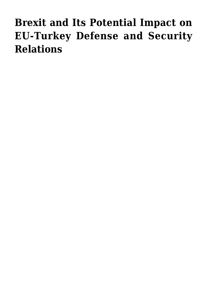## **[Brexit and Its Potential Impact on](https://www.uikpanorama.com/blog/2021/11/20/brexit-and-its-potential-impact-on-eu-turkey-defense-and-security-relations/) [EU-Turkey Defense and Security](https://www.uikpanorama.com/blog/2021/11/20/brexit-and-its-potential-impact-on-eu-turkey-defense-and-security-relations/) [Relations](https://www.uikpanorama.com/blog/2021/11/20/brexit-and-its-potential-impact-on-eu-turkey-defense-and-security-relations/)**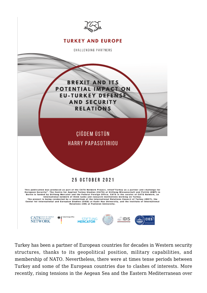

Turkey has been a partner of European countries for decades in Western security structures, thanks to its geopolitical position, military capabilities, and membership of NATO. Nevertheless, there were at times tense periods between Turkey and some of the European countries due to clashes of interests. More recently, rising tensions in the Aegean Sea and the Eastern Mediterranean over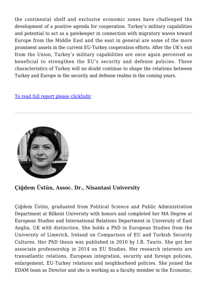the continental shelf and exclusive economic zones have challenged the development of a positive agenda for cooperation. Turkey's military capabilities and potential to act as a gatekeeper in connection with migratory waves toward Europe from the Middle East and the east in general are some of the more prominent assets in the current EU-Turkey cooperation efforts. After the UK's exit from the Union, Turkey's military capabilities are once again perceived as beneficial to strengthen the EU's security and defense policies. These characteristics of Turkey will no doubt continue to shape the relations between Turkey and Europe in the security and defense realms in the coming years.

## [To read full report please clickİndir](https://www.uikpanorama.com/wp-content/uploads/2021/11/CATS-Brexit-and-its-Potential-Impact-on-EU-Turkey-Defense-and-Security-Relations_08.11.pdf)



## **Çiğdem Üstün, Assoc. Dr., Nisantasi University**

Çiğdem Üstün, graduated from Political Science and Public Administration Department at Bilkent University with honors and completed her MA Degree at European Studies and International Relations Department in University of East Anglia, UK with distinction. She holds a PhD in European Studies from the University of Limerick, Ireland on Comparison of EU and Turkish Security Cultures. Her PhD thesis was published in 2010 by I.B. Tauris. She got her associate professorship in 2014 on EU Studies. Her research interests are transatlantic relations, European integration, security and foreign policies, enlargement, EU-Turkey relations and neighborhood policies. She joined the EDAM team as Director and she is working as a faculty member in the Economic,